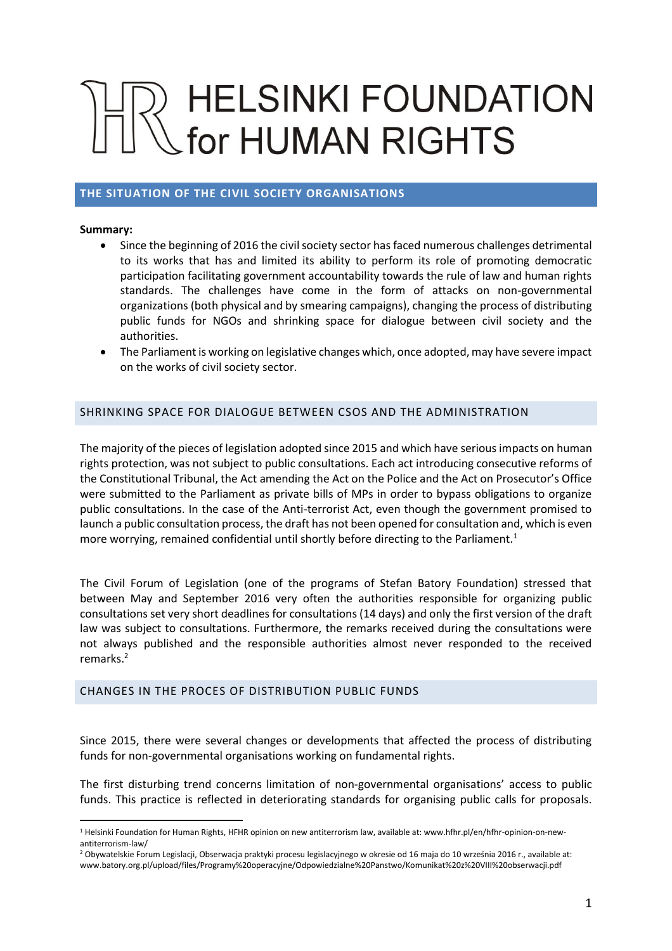# **HELSINKI FOUNDATION** for HUMAN RIGHTS

# **THE SITUATION OF THE CIVIL SOCIETY ORGANISATIONS**

#### **Summary:**

 $\overline{a}$ 

- Since the beginning of 2016 the civil society sector has faced numerous challenges detrimental to its works that has and limited its ability to perform its role of promoting democratic participation facilitating government accountability towards the rule of law and human rights standards. The challenges have come in the form of attacks on non-governmental organizations (both physical and by smearing campaigns), changing the process of distributing public funds for NGOs and shrinking space for dialogue between civil society and the authorities.
- The Parliament is working on legislative changes which, once adopted, may have severe impact on the works of civil society sector.

## SHRINKING SPACE FOR DIALOGUE BETWEEN CSOS AND THE ADMINISTRATION

The majority of the pieces of legislation adopted since 2015 and which have serious impacts on human rights protection, was not subject to public consultations. Each act introducing consecutive reforms of the Constitutional Tribunal, the Act amending the Act on the Police and the Act on Prosecutor's Office were submitted to the Parliament as private bills of MPs in order to bypass obligations to organize public consultations. In the case of the Anti-terrorist Act, even though the government promised to launch a public consultation process, the draft has not been opened for consultation and, which is even more worrying, remained confidential until shortly before directing to the Parliament.<sup>1</sup>

The Civil Forum of Legislation (one of the programs of Stefan Batory Foundation) stressed that between May and September 2016 very often the authorities responsible for organizing public consultations set very short deadlines for consultations (14 days) and only the first version of the draft law was subject to consultations. Furthermore, the remarks received during the consultations were not always published and the responsible authorities almost never responded to the received remarks.<sup>2</sup>

#### CHANGES IN THE PROCES OF DISTRIBUTION PUBLIC FUNDS

Since 2015, there were several changes or developments that affected the process of distributing funds for non-governmental organisations working on fundamental rights.

The first disturbing trend concerns limitation of non-governmental organisations' access to public funds. This practice is reflected in deteriorating standards for organising public calls for proposals.

<sup>1</sup> Helsinki Foundation for Human Rights, HFHR opinion on new antiterrorism law, available at: www.hfhr.pl/en/hfhr-opinion-on-newantiterrorism-law/

<sup>2</sup> Obywatelskie Forum Legislacji, Obserwacja praktyki procesu legislacyjnego w okresie od 16 maja do 10 września 2016 r., available at: www.batory.org.pl/upload/files/Programy%20operacyjne/Odpowiedzialne%20Panstwo/Komunikat%20z%20VIII%20obserwacji.pdf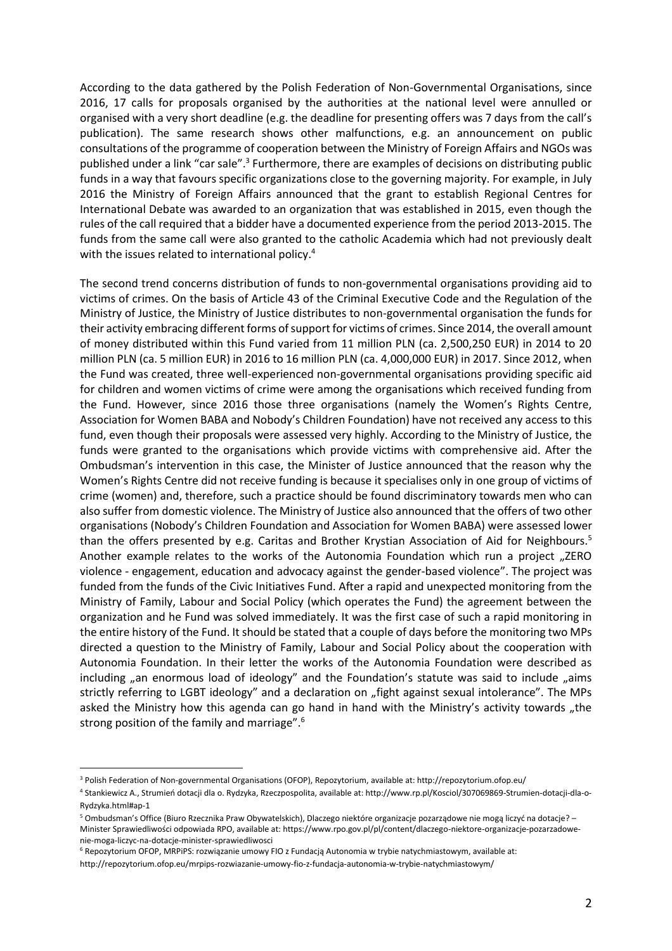According to the data gathered by the Polish Federation of Non-Governmental Organisations, since 2016, 17 calls for proposals organised by the authorities at the national level were annulled or organised with a very short deadline (e.g. the deadline for presenting offers was 7 days from the call's publication). The same research shows other malfunctions, e.g. an announcement on public consultations of the programme of cooperation between the Ministry of Foreign Affairs and NGOs was published under a link "car sale".<sup>3</sup> Furthermore, there are examples of decisions on distributing public funds in a way that favours specific organizations close to the governing majority. For example, in July 2016 the Ministry of Foreign Affairs announced that the grant to establish Regional Centres for International Debate was awarded to an organization that was established in 2015, even though the rules of the call required that a bidder have a documented experience from the period 2013-2015. The funds from the same call were also granted to the catholic Academia which had not previously dealt with the issues related to international policy.<sup>4</sup>

The second trend concerns distribution of funds to non-governmental organisations providing aid to victims of crimes. On the basis of Article 43 of the Criminal Executive Code and the Regulation of the Ministry of Justice, the Ministry of Justice distributes to non-governmental organisation the funds for their activity embracing different forms of support for victims of crimes. Since 2014, the overall amount of money distributed within this Fund varied from 11 million PLN (ca. 2,500,250 EUR) in 2014 to 20 million PLN (ca. 5 million EUR) in 2016 to 16 million PLN (ca. 4,000,000 EUR) in 2017. Since 2012, when the Fund was created, three well-experienced non-governmental organisations providing specific aid for children and women victims of crime were among the organisations which received funding from the Fund. However, since 2016 those three organisations (namely the Women's Rights Centre, Association for Women BABA and Nobody's Children Foundation) have not received any access to this fund, even though their proposals were assessed very highly. According to the Ministry of Justice, the funds were granted to the organisations which provide victims with comprehensive aid. After the Ombudsman's intervention in this case, the Minister of Justice announced that the reason why the Women's Rights Centre did not receive funding is because it specialises only in one group of victims of crime (women) and, therefore, such a practice should be found discriminatory towards men who can also suffer from domestic violence. The Ministry of Justice also announced that the offers of two other organisations (Nobody's Children Foundation and Association for Women BABA) were assessed lower than the offers presented by e.g. Caritas and Brother Krystian Association of Aid for Neighbours.<sup>5</sup> Another example relates to the works of the Autonomia Foundation which run a project "ZERO violence - engagement, education and advocacy against the gender-based violence". The project was funded from the funds of the Civic Initiatives Fund. After a rapid and unexpected monitoring from the Ministry of Family, Labour and Social Policy (which operates the Fund) the agreement between the organization and he Fund was solved immediately. It was the first case of such a rapid monitoring in the entire history of the Fund. It should be stated that a couple of days before the monitoring two MPs directed a question to the Ministry of Family, Labour and Social Policy about the cooperation with Autonomia Foundation. In their letter the works of the Autonomia Foundation were described as including "an enormous load of ideology" and the Foundation's statute was said to include "aims strictly referring to LGBT ideology" and a declaration on "fight against sexual intolerance". The MPs asked the Ministry how this agenda can go hand in hand with the Ministry's activity towards "the strong position of the family and marriage".<sup>6</sup>

í

<sup>3</sup> Polish Federation of Non-governmental Organisations (OFOP), Repozytorium, available at: http://repozytorium.ofop.eu/

<sup>4</sup> Stankiewicz A., Strumień dotacji dla o. Rydzyka, Rzeczpospolita, available at: http://www.rp.pl/Kosciol/307069869-Strumien-dotacji-dla-o-Rydzyka.html#ap-1

<sup>5</sup> Ombudsman's Office (Biuro Rzecznika Praw Obywatelskich), Dlaczego niektóre organizacje pozarządowe nie mogą liczyć na dotacje? – Minister Sprawiedliwości odpowiada RPO, available at: https://www.rpo.gov.pl/pl/content/dlaczego-niektore-organizacje-pozarzadowenie-moga-liczyc-na-dotacje-minister-sprawiedliwosci

<sup>6</sup> Repozytorium OFOP, MRPiPS: rozwiązanie umowy FIO z Fundacją Autonomia w trybie natychmiastowym, available at:

http://repozytorium.ofop.eu/mrpips-rozwiazanie-umowy-fio-z-fundacja-autonomia-w-trybie-natychmiastowym/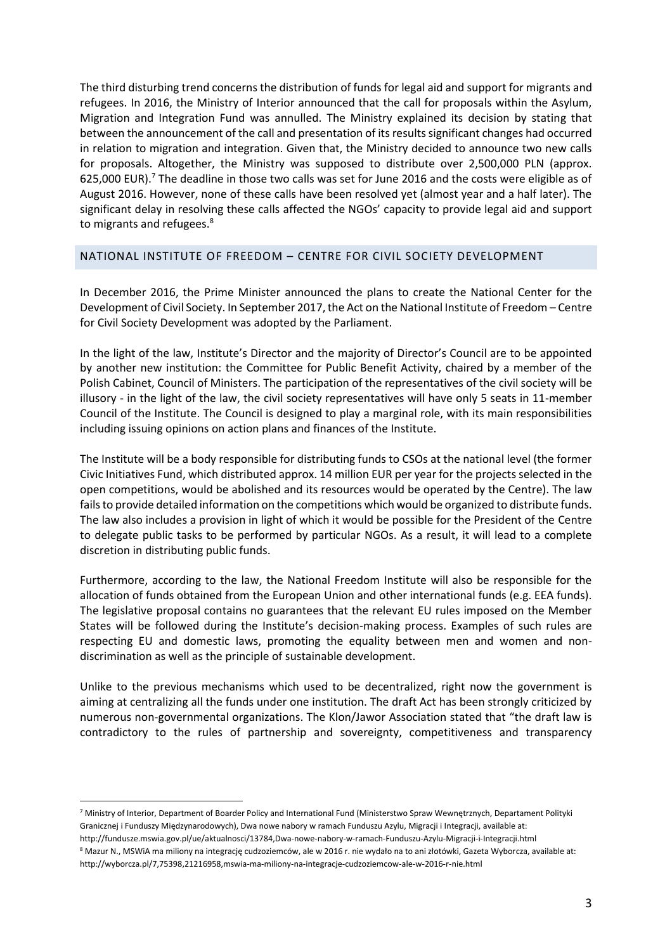The third disturbing trend concerns the distribution of funds for legal aid and support for migrants and refugees. In 2016, the Ministry of Interior announced that the call for proposals within the Asylum, Migration and Integration Fund was annulled. The Ministry explained its decision by stating that between the announcement of the call and presentation of its results significant changes had occurred in relation to migration and integration. Given that, the Ministry decided to announce two new calls for proposals. Altogether, the Ministry was supposed to distribute over 2,500,000 PLN (approx. 625,000 EUR).<sup>7</sup> The deadline in those two calls was set for June 2016 and the costs were eligible as of August 2016. However, none of these calls have been resolved yet (almost year and a half later). The significant delay in resolving these calls affected the NGOs' capacity to provide legal aid and support to migrants and refugees.<sup>8</sup>

#### NATIONAL INSTITUTE OF FREEDOM – CENTRE FOR CIVIL SOCIETY DEVELOPMENT

In December 2016, the Prime Minister announced the plans to create the National Center for the Development of Civil Society. In September 2017, the Act on the National Institute of Freedom – Centre for Civil Society Development was adopted by the Parliament.

In the light of the law, Institute's Director and the majority of Director's Council are to be appointed by another new institution: the Committee for Public Benefit Activity, chaired by a member of the Polish Cabinet, Council of Ministers. The participation of the representatives of the civil society will be illusory - in the light of the law, the civil society representatives will have only 5 seats in 11-member Council of the Institute. The Council is designed to play a marginal role, with its main responsibilities including issuing opinions on action plans and finances of the Institute.

The Institute will be a body responsible for distributing funds to CSOs at the national level (the former Civic Initiatives Fund, which distributed approx. 14 million EUR per year for the projects selected in the open competitions, would be abolished and its resources would be operated by the Centre). The law fails to provide detailed information on the competitions which would be organized to distribute funds. The law also includes a provision in light of which it would be possible for the President of the Centre to delegate public tasks to be performed by particular NGOs. As a result, it will lead to a complete discretion in distributing public funds.

Furthermore, according to the law, the National Freedom Institute will also be responsible for the allocation of funds obtained from the European Union and other international funds (e.g. EEA funds). The legislative proposal contains no guarantees that the relevant EU rules imposed on the Member States will be followed during the Institute's decision-making process. Examples of such rules are respecting EU and domestic laws, promoting the equality between men and women and nondiscrimination as well as the principle of sustainable development.

Unlike to the previous mechanisms which used to be decentralized, right now the government is aiming at centralizing all the funds under one institution. The draft Act has been strongly criticized by numerous non-governmental organizations. The Klon/Jawor Association stated that "the draft law is contradictory to the rules of partnership and sovereignty, competitiveness and transparency

í

<sup>7</sup> Ministry of Interior, Department of Boarder Policy and International Fund (Ministerstwo Spraw Wewnętrznych, Departament Polityki Granicznej i Funduszy Międzynarodowych), Dwa nowe nabory w ramach Funduszu Azylu, Migracji i Integracji, available at:

http://fundusze.mswia.gov.pl/ue/aktualnosci/13784,Dwa-nowe-nabory-w-ramach-Funduszu-Azylu-Migracji-i-Integracji.html

<sup>8</sup> Mazur N., MSWiA ma miliony na integrację cudzoziemców, ale w 2016 r. nie wydało na to ani złotówki, Gazeta Wyborcza, available at: http://wyborcza.pl/7,75398,21216958,mswia-ma-miliony-na-integracje-cudzoziemcow-ale-w-2016-r-nie.html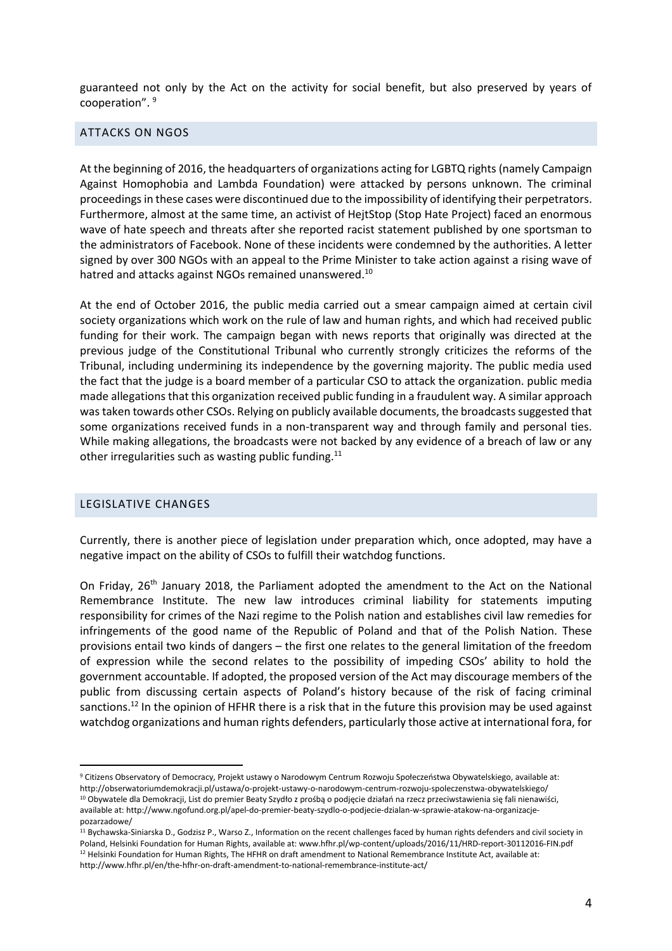guaranteed not only by the Act on the activity for social benefit, but also preserved by years of cooperation". <sup>9</sup>

# ATTACKS ON NGOS

At the beginning of 2016, the headquarters of organizations acting for LGBTQ rights (namely Campaign Against Homophobia and Lambda Foundation) were attacked by persons unknown. The criminal proceedings in these cases were discontinued due to the impossibility of identifying their perpetrators. Furthermore, almost at the same time, an activist of HejtStop (Stop Hate Project) faced an enormous wave of hate speech and threats after she reported racist statement published by one sportsman to the administrators of Facebook. None of these incidents were condemned by the authorities. A letter signed by over 300 NGOs with an appeal to the Prime Minister to take action against a rising wave of hatred and attacks against NGOs remained unanswered.<sup>10</sup>

At the end of October 2016, the public media carried out a smear campaign aimed at certain civil society organizations which work on the rule of law and human rights, and which had received public funding for their work. The campaign began with news reports that originally was directed at the previous judge of the Constitutional Tribunal who currently strongly criticizes the reforms of the Tribunal, including undermining its independence by the governing majority. The public media used the fact that the judge is a board member of a particular CSO to attack the organization. public media made allegations that this organization received public funding in a fraudulent way. A similar approach was taken towards other CSOs. Relying on publicly available documents, the broadcasts suggested that some organizations received funds in a non-transparent way and through family and personal ties. While making allegations, the broadcasts were not backed by any evidence of a breach of law or any other irregularities such as wasting public funding.<sup>11</sup>

#### LEGISLATIVE CHANGES

 $\overline{a}$ 

Currently, there is another piece of legislation under preparation which, once adopted, may have a negative impact on the ability of CSOs to fulfill their watchdog functions.

On Friday, 26<sup>th</sup> January 2018, the Parliament adopted the amendment to the Act on the National Remembrance Institute. The new law introduces criminal liability for statements imputing responsibility for crimes of the Nazi regime to the Polish nation and establishes civil law remedies for infringements of the good name of the Republic of Poland and that of the Polish Nation. These provisions entail two kinds of dangers – the first one relates to the general limitation of the freedom of expression while the second relates to the possibility of impeding CSOs' ability to hold the government accountable. If adopted, the proposed version of the Act may discourage members of the public from discussing certain aspects of Poland's history because of the risk of facing criminal sanctions.<sup>12</sup> In the opinion of HFHR there is a risk that in the future this provision may be used against watchdog organizations and human rights defenders, particularly those active at international fora, for

<sup>9</sup> Citizens Observatory of Democracy, Projekt ustawy o Narodowym Centrum Rozwoju Społeczeństwa Obywatelskiego, available at: http://obserwatoriumdemokracji.pl/ustawa/o-projekt-ustawy-o-narodowym-centrum-rozwoju-spoleczenstwa-obywatelskiego/

<sup>&</sup>lt;sup>10</sup> Obywatele dla Demokracji, List do premier Beaty Szydło z prośbą o podjęcie działań na rzecz przeciwstawienia się fali nienawiści, available at: http://www.ngofund.org.pl/apel-do-premier-beaty-szydlo-o-podjecie-dzialan-w-sprawie-atakow-na-organizacjepozarzadowe/

<sup>11</sup> Bychawska-Siniarska D., Godzisz P., Warso Z., Information on the recent challenges faced by human rights defenders and civil society in Poland, Helsinki Foundation for Human Rights, available at: www.hfhr.pl/wp-content/uploads/2016/11/HRD-report-30112016-FIN.pdf  $12$  Helsinki Foundation for Human Rights, The HFHR on draft amendment to National Remembrance Institute Act, available at: http://www.hfhr.pl/en/the-hfhr-on-draft-amendment-to-national-remembrance-institute-act/